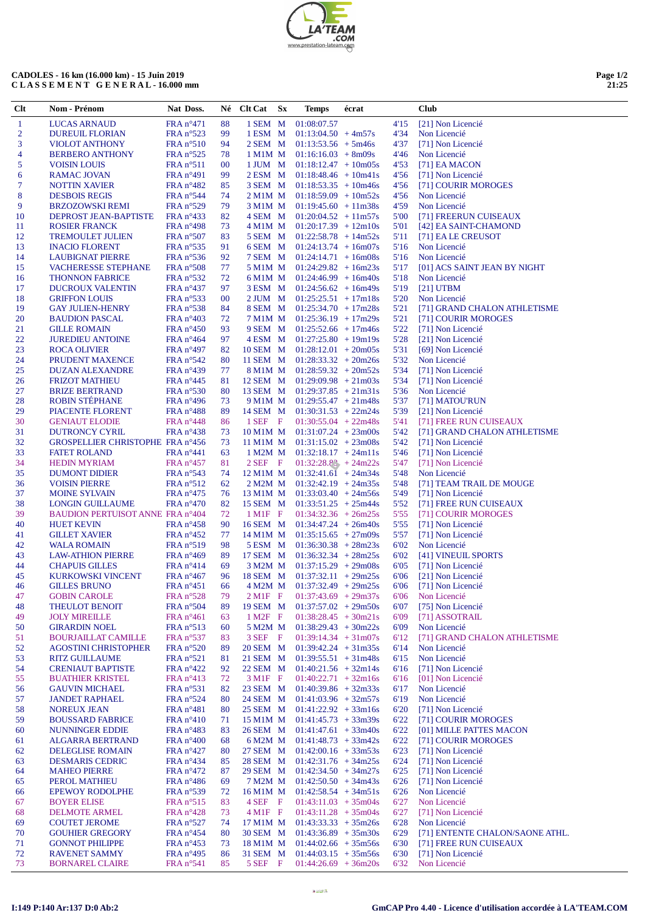| <b>TEAM</b>                       |
|-----------------------------------|
| .COM<br>www.prestation-lateam.com |

## **CADOLES - 16 km (16.000 km) - 15 Juin 2019 C L A S S E M E N T G E N E R A L - 16.000 mm**

| Page 1/2 |       |
|----------|-------|
|          | 21:25 |

 $\overline{\phantom{0}}$ 

| Clt            | Nom - Prénom                                       | Nat Doss.                                        |          | Né Clt Cat             | $S_{\rm X}$  | Temps                                                                  | écrat |              | <b>Club</b>                                  |
|----------------|----------------------------------------------------|--------------------------------------------------|----------|------------------------|--------------|------------------------------------------------------------------------|-------|--------------|----------------------------------------------|
| $\mathbf{1}$   | <b>LUCAS ARNAUD</b>                                | $FRA n^{\circ}471$                               | 88       | 1 SEM M                |              | 01:08:07.57                                                            |       | 4'15         | [21] Non Licencié                            |
| $\overline{2}$ | <b>DUREUIL FLORIAN</b>                             | $FRA n^{\circ}523$                               | 99       | 1 ESM M                |              | $01:13:04.50 + 4m57s$                                                  |       | 4'34         | Non Licencié                                 |
| 3              | <b>VIOLOT ANTHONY</b>                              | $FRA n^{\circ}510$                               | 94       | 2 SEM M                |              | $01:13:53.56 + 5m46s$                                                  |       | 4'37         | [71] Non Licencié                            |
| 4              | <b>BERBERO ANTHONY</b>                             | $FRA n^{\circ}525$                               | 78       |                        |              | $1 \text{M}$ 1M M $01:16:16.03 + 8 \text{m}09 \text{s}$                |       | 4'46         | Non Licencié                                 |
| 5              | <b>VOISIN LOUIS</b>                                | FRA n <sup>o</sup> 511                           | 00       |                        |              | $1$ JUM M $01:18:12.47 + 10m05s$                                       |       | 4'53         | $[71]$ EA MACON                              |
| 6              | RAMAC JOVAN                                        | FRA n°491                                        | 99       |                        |              | $2$ ESM M $01:18:48.46 + 10m41s$                                       |       | 4'56         | [71] Non Licencié                            |
| 7              | <b>NOTTIN XAVIER</b>                               | $FRA n^{\circ}482$                               | 85       |                        |              | $3$ SEM M $01:18:53.35 + 10m46s$                                       |       | 4'56         | [71] COURIR MOROGES                          |
| 8              | <b>DESBOIS REGIS</b>                               | $FRA n^{\circ}544$                               | 74       |                        |              | $2$ M1M M $01:18:59.09 + 10m52s$                                       |       | 4'56         | Non Licencié                                 |
| 9              | <b>BRZOZOWSKI REMI</b>                             | $FRA n^{\circ}529$                               | 79       |                        |              | $3$ M1M M $01:19:45.60 + 11m38s$                                       |       | 4'59         | Non Licencié                                 |
| 10             | DEPROST JEAN-BAPTISTE                              | $FRA n^{\circ}433$                               | 82       |                        |              | $4$ SEM M $01:20:04.52 + 11m57s$                                       |       | 5'00         | [71] FREERUN CUISEAUX                        |
| 11             | <b>ROSIER FRANCK</b>                               | $FRA n^{\circ}498$                               | 73       |                        |              | $4$ M1M M $01:20:17.39 + 12m10s$                                       |       | 5'01         | [42] EA SAINT-CHAMOND                        |
| 12             | <b>TREMOULET JULIEN</b>                            | FRA n°507                                        | 83       |                        |              | $5$ SEM M $01:22:58.78 + 14m52s$                                       |       | 5'11<br>5'16 | [71] EA LE CREUSOT                           |
| 13<br>14       | <b>INACIO FLORENT</b><br><b>LAUBIGNAT PIERRE</b>   | FRA n <sup>o</sup> 535<br>FRA n <sup>o</sup> 536 | 91<br>92 |                        |              | 6 SEM $M = 01:24:13.74 + 16m07s$<br>$7$ SEM M $01:24:14.71 + 16m08s$   |       | 5'16         | Non Licencié<br>Non Licencié                 |
| 15             | <b>VACHERESSE STEPHANE</b>                         | FRA n°508                                        | 77       |                        |              | $5$ M1M M $01:24:29.82 + 16m23s$                                       |       | 5'17         | [01] ACS SAINT JEAN BY NIGHT                 |
| 16             | <b>THONNON FABRICE</b>                             | FRA n <sup>o</sup> 532                           | 72       |                        |              | $6$ M1M M $01:24:46.99 + 16$ m40s                                      |       | 5'18         | Non Licencié                                 |
| 17             | <b>DUCROUX VALENTIN</b>                            | $FRA n^{\circ}437$                               | 97       |                        |              | $3$ ESM M $01:24:56.62 + 16m49s$                                       |       | 5'19         | [21] UTBM                                    |
| 18             | <b>GRIFFON LOUIS</b>                               | FRA n <sup>o</sup> 533                           | $00\,$   |                        |              | $2$ JUM M $01:25:25.51 + 17m18s$                                       |       | 5'20         | Non Licencié                                 |
| 19             | <b>GAY JULIEN-HENRY</b>                            | FRA n <sup>o</sup> 538                           | 84       |                        |              | 8 SEM M 01:25:34.70 + 17m28s                                           |       | 5'21         | [71] GRAND CHALON ATHLETISME                 |
| 20             | <b>BAUDION PASCAL</b>                              | $FRA n^{\circ}403$                               | 72       |                        |              | $7$ M1M M $01:25:36.19 + 17m29s$                                       |       | 5'21         | [71] COURIR MOROGES                          |
| 21             | <b>GILLE ROMAIN</b>                                | $FRA n^{\circ}450$                               | 93       |                        |              | $9$ SEM M $01:25:52.66 + 17m46s$                                       |       | 5'22         | [71] Non Licencié                            |
| 22             | <b>JUREDIEU ANTOINE</b>                            | $FRA n^{\circ}464$                               | 97       |                        |              | $4$ ESM M $01:27:25.80 + 19m19s$                                       |       | 5'28         | [21] Non Licencié                            |
| 23             | <b>ROCA OLIVIER</b>                                | FRA n°497                                        | 82       |                        |              | $10$ SEM M $01:28:12.01 + 20m05s$                                      |       | 5'31         | [69] Non Licencié                            |
| 24             | PRUDENT MAXENCE                                    | $FRA n^{\circ}542$                               | 80       |                        |              | 11 SEM $M = 01:28:33.32 + 20m26s$                                      |       | 5'32         | Non Licencié                                 |
| 25             | <b>DUZAN ALEXANDRE</b>                             | $FRA n^{\circ}439$                               | 77       |                        |              | $8$ M1M M $01:28:59.32 + 20m52s$                                       |       | 5'34         | [71] Non Licencié                            |
| 26             | <b>FRIZOT MATHIEU</b>                              | $FRA n^{\circ}445$                               | 81       |                        |              | $12$ SEM M $01:29:09.98 + 21m03s$                                      |       | 5'34         | [71] Non Licencié                            |
| 27             | <b>BRIZE BERTRAND</b>                              | FRA n <sup>o</sup> 530                           | 80       |                        |              | 13 SEM $M = 01:29:37.85 + 21m31s$                                      |       | 5'36         | Non Licencié                                 |
| 28             | <b>ROBIN STÉPHANE</b>                              | FRA n°496                                        | 73       |                        |              | 9 M1M M 01:29:55.47 + 21m48s                                           |       | 5'37         | [71] MATOU'RUN                               |
| 29             | PIACENTE FLORENT                                   | $FRA n^{\circ}488$                               | 89       |                        |              | $14$ SEM M $01:30:31.53 + 22m24s$                                      |       | 5'39         | [21] Non Licencié                            |
| 30             | <b>GENIAUT ELODIE</b>                              | $FRA n^{\circ}448$                               | 86       | 1 SEF                  | $\mathbf{F}$ | $01:30:55.04 + 22m48s$                                                 |       | 5'41         | [71] FREE RUN CUISEAUX                       |
| 31             | <b>DUTRONCY CYRIL</b>                              | $FRA n^{\circ}438$                               | 73       |                        |              | $10$ M1M M $01:31:07.24 + 23 \text{m}00s$                              |       | 5'42         | [71] GRAND CHALON ATHLETISME                 |
| 32             | GROSPELLIER CHRISTOPHE FRA n°456                   |                                                  | 73       |                        |              | 11 M1M M $01:31:15.02 + 23m08s$                                        |       | 5'42         | [71] Non Licencié                            |
| 33             | <b>FATET ROLAND</b>                                | $FRA n^{\circ}441$                               | 63       |                        |              | $1 M2M M 01:32:18.17 + 24m11s$                                         |       | 5'46         | [71] Non Licencié                            |
| 34<br>35       | <b>HEDIN MYRIAM</b><br><b>DUMONT DIDIER</b>        | $FRA n^{\circ}457$<br>$FRA n^{\circ}543$         | 81<br>74 | $2SEF \tF$             |              | $01:32:28.82 + 24m22s$<br>$12$ M1M M $01:32:41.6\overline{1}$ + 24m34s |       | 5'47<br>5'48 | [71] Non Licencié<br>Non Licencié            |
| 36             | <b>VOISIN PIERRE</b>                               | $FRA n^{\circ}512$                               | 62       |                        |              | $2 M2M M 01:32:42.19 + 24m35s$                                         |       | 5'48         | [71] TEAM TRAIL DE MOUGE                     |
| 37             | <b>MOINE SYLVAIN</b>                               | $FRA n^{\circ}475$                               | 76       |                        |              | 13 M1M M $01:33:03.40 + 24m56s$                                        |       | 5'49         | [71] Non Licencié                            |
| 38             | <b>LONGIN GUILLAUME</b>                            | $FRA n^{\circ}470$                               | 82       |                        |              | $15$ SEM M $01:33:51.25 + 25m44s$                                      |       | 5'52         | [71] FREE RUN CUISEAUX                       |
| 39             | <b>BAUDION PERTUISOT ANNE FRA n°404</b>            |                                                  | 72       | $1 \text{ M1F}$ F      |              | $01:34:32.36 + 26m25s$                                                 |       | 5'55         | [71] COURIR MOROGES                          |
| 40             | <b>HUET KEVIN</b>                                  | $FRA n^{\circ}458$                               | 90       | 16 SEM M               |              | $01:34:47.24 + 26m40s$                                                 |       | 5'55         | [71] Non Licencié                            |
| 41             | <b>GILLET XAVIER</b>                               | $FRA n^{\circ}452$                               | 77       | 14 M1M M               |              | $01:35:15.65 + 27m09s$                                                 |       | 5'57         | [71] Non Licencié                            |
| 42             | <b>WALA ROMAIN</b>                                 | FRA n°519                                        | 98       |                        |              | $5$ ESM M $01:36:30.38 + 28m23s$                                       |       | 6'02         | Non Licencié                                 |
| 43             | <b>LAW-ATHION PIERRE</b>                           | FRA n°469                                        | 89       |                        |              | 17 SEM M 01:36:32.34 + 28m25s                                          |       | 6'02         | [41] VINEUIL SPORTS                          |
| 44             | <b>CHAPUIS GILLES</b>                              | $FRA n^{\circ}414$                               | 69       | 3 M2M M                |              | $01:37:15.29 + 29m08s$                                                 |       | 6'05         | [71] Non Licencié                            |
| 45             | KURKOWSKI VINCENT                                  | $FRA n^{\circ}467$                               | 96       | 18 SEM M               |              | $01:37:32.11 + 29m25s$                                                 |       | 6'06         | [21] Non Licencié                            |
| 46             | <b>GILLES BRUNO</b>                                | $FRA n^{\circ}451$                               | 66       |                        |              | $4 M2M M 01:37:32.49 + 29m25s$                                         |       | 6'06         | [71] Non Licencié                            |
| 47             | <b>GOBIN CAROLE</b>                                | FRA n°528                                        | 79       | $2$ M <sub>1</sub> F F |              | $01:37:43.69 + 29m37s$                                                 |       | 6'06         | Non Licencié                                 |
| 48             | <b>THEULOT BENOIT</b>                              | FRA n°504                                        | 89       | 19 SEM M               |              | $01:37:57.02 + 29m50s$                                                 |       | 6'07         | [75] Non Licencié                            |
| 49             | <b>JOLY MIREILLE</b>                               | FRA n°461                                        | 63       | $1 M2F$ F              |              | $01:38:28.45 + 30m21s$                                                 |       | 6'09         | [71] ASSOTRAIL                               |
| 50             | <b>GIRARDIN NOEL</b><br><b>BOURJAILLAT CAMILLE</b> | FRA n <sup>o</sup> 513<br>FRA n°537              | 60       | 5 M2M M<br>3 SEF F     |              | $01:38:29.43 + 30m22s$<br>$01:39:14.34 + 31m07s$                       |       | 6'09         | Non Licencié                                 |
| 51<br>52       | <b>AGOSTINI CHRISTOPHER</b>                        | FRA n <sup>o</sup> 520                           | 83<br>89 | 20 SEM M               |              | $01:39:42.24 + 31m35s$                                                 |       | 6'12<br>6'14 | [71] GRAND CHALON ATHLETISME<br>Non Licencié |
| 53             | <b>RITZ GUILLAUME</b>                              | $FRA n^{\circ}521$                               | 81       | 21 SEM M               |              | $01:39:55.51 + 31m48s$                                                 |       | 6'15         | Non Licencié                                 |
| 54             | <b>CRENIAUT BAPTISTE</b>                           | $FRA n^{\circ}422$                               | 92       | 22 SEM M               |              | $01:40:21.56 + 32m14s$                                                 |       | 6'16         | [71] Non Licencié                            |
| 55             | <b>BUATHIER KRISTEL</b>                            | $FRA n^{\circ}413$                               | 72       | $3$ M <sub>1</sub> F F |              | $01:40:22.71 + 32m16s$                                                 |       | 6'16         | [01] Non Licencié                            |
| 56             | <b>GAUVIN MICHAEL</b>                              | FRA n°531                                        | 82       | 23 SEM M               |              | $01:40:39.86 + 32m33s$                                                 |       | 6'17         | Non Licencié                                 |
| 57             | <b>JANDET RAPHAEL</b>                              | FRA n°524                                        | 80       | 24 SEM M               |              | $01:41:03.96 + 32m57s$                                                 |       | 6'19         | Non Licencié                                 |
| 58             | <b>NOREUX JEAN</b>                                 | $FRA n^{\circ}481$                               | 80       | 25 SEM M               |              | $01:41:22.92 + 33m16s$                                                 |       | 6'20         | [71] Non Licencié                            |
| 59             | <b>BOUSSARD FABRICE</b>                            | $FRA n^{\circ}410$                               | 71       | 15 M1M M               |              | $01:41:45.73 + 33m39s$                                                 |       | 6'22         | [71] COURIR MOROGES                          |
| 60             | <b>NUNNINGER EDDIE</b>                             | $FRA n^{\circ}483$                               | 83       | 26 SEM M               |              | $01:41:47.61 + 33m40s$                                                 |       | 6'22         | [01] MILLE PATTES MACON                      |
| 61             | <b>ALGARRA BERTRAND</b>                            | FRA n°400                                        | 68       | 6 M2M M                |              | $01:41:48.73 + 33m42s$                                                 |       | 6'22         | [71] COURIR MOROGES                          |
| 62             | <b>DELEGLISE ROMAIN</b>                            | $FRA n^o427$                                     | 80       | 27 SEM M               |              | $01:42:00.16 + 33m53s$                                                 |       | 6'23         | [71] Non Licencié                            |
| 63             | <b>DESMARIS CEDRIC</b>                             | FRA n°434                                        | 85       | 28 SEM M               |              | $01:42:31.76 + 34m25s$                                                 |       | 6'24         | [71] Non Licencié                            |
| 64             | <b>MAHEO PIERRE</b>                                | $FRA n^{\circ}472$                               | 87       | 29 SEM M               |              | $01:42:34.50 + 34m27s$                                                 |       | 6'25         | [71] Non Licencié                            |
| 65             | PEROL MATHIEU                                      | FRA n°486                                        | 69       | 7 M2M M                |              | $01:42:50.50 + 34m43s$                                                 |       | 6'26         | [71] Non Licencié                            |
| 66             | <b>EPEWOY RODOLPHE</b>                             | FRA n <sup>o</sup> 539                           | 72       | 16 M1M M               |              | $01:42:58.54 + 34m51s$                                                 |       | 6'26         | Non Licencié                                 |
| 67             | <b>BOYER ELISE</b>                                 | $FRA n^{\circ}515$                               | 83       | $4$ SEF F              |              | $01:43:11.03 + 35m04s$                                                 |       | 6'27         | Non Licencié                                 |
| 68             | <b>DELMOTE ARMEL</b>                               | $FRA n^{\circ}428$                               | 73       | $4 \text{ M1F}$ F      |              | $01:43:11.28 + 35m04s$                                                 |       | 6'27         | [71] Non Licencié                            |
| 69             | <b>COUTET JEROME</b>                               | FRA n°527                                        | 74       | 17 M1M M               |              | $01:43:33.33 + 35m26s$                                                 |       | 6'28         | Non Licencié                                 |
| 70             | <b>GOUHIER GREGORY</b>                             | $FRA n^{\circ}454$                               | 80       | 30 SEM M               |              | $01:43:36.89 + 35m30s$                                                 |       | 6'29         | [71] ENTENTE CHALON/SAONE ATHL.              |
| 71<br>72       | <b>GONNOT PHILIPPE</b><br><b>RAVENET SAMMY</b>     | $FRA n^{\circ}453$<br>$FRA n^{\circ}495$         | 73<br>86 | 18 M1M M<br>31 SEM M   |              | $01:44:02.66 + 35m56s$<br>$01:44:03.15 + 35m56s$                       |       | 6'30<br>6'30 | [71] FREE RUN CUISEAUX<br>[71] Non Licencié  |
| 73             | <b>BORNAREL CLAIRE</b>                             | FRA n°541                                        | 85       | 5 SEF F                |              | $01:44:26.69 + 36m20s$                                                 |       | 6'32         | Non Licencié                                 |
|                |                                                    |                                                  |          |                        |              |                                                                        |       |              |                                              |